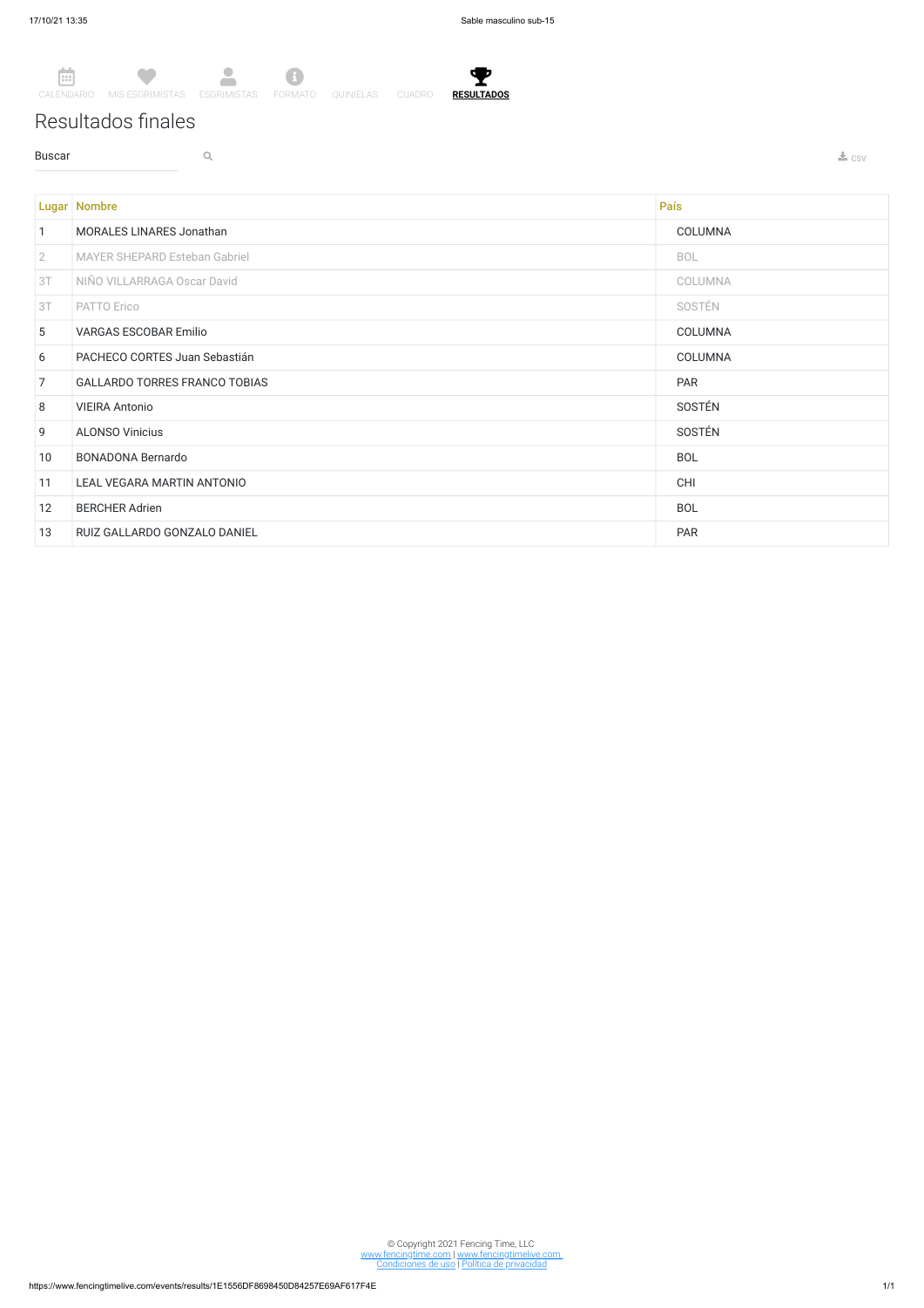T **RESULTADOS**

## Resultados finales

**Buscar Q Q** 



|                | <b>Lugar   Nombre</b>                | País           |
|----------------|--------------------------------------|----------------|
| $\mathbf{1}$   | <b>MORALES LINARES Jonathan</b>      | COLUMNA        |
| $\overline{2}$ | <b>MAYER SHEPARD Esteban Gabriel</b> | <b>BOL</b>     |
| 3T             | NIÑO VILLARRAGA Oscar David          | COLUMNA        |
| 3T             | PATTO Erico                          | SOSTÉN         |
| 5              | <b>VARGAS ESCOBAR Emilio</b>         | COLUMNA        |
| 6              | PACHECO CORTES Juan Sebastián        | <b>COLUMNA</b> |
| $\overline{7}$ | <b>GALLARDO TORRES FRANCO TOBIAS</b> | <b>PAR</b>     |
| 8              | <b>VIEIRA Antonio</b>                | SOSTÉN         |
| 9              | <b>ALONSO Vinicius</b>               | SOSTÉN         |
| 10             | <b>BONADONA Bernardo</b>             | <b>BOL</b>     |
| 11             | LEAL VEGARA MARTIN ANTONIO           | <b>CHI</b>     |
| 12             | <b>BERCHER Adrien</b>                | <b>BOL</b>     |
| 13             | RUIZ GALLARDO GONZALO DANIEL         | <b>PAR</b>     |

© Copyright 2021 Fencing Time, LLC www.fencingtime.com | www.fencingtimelive.com Condiciones de uso | Política de privacidad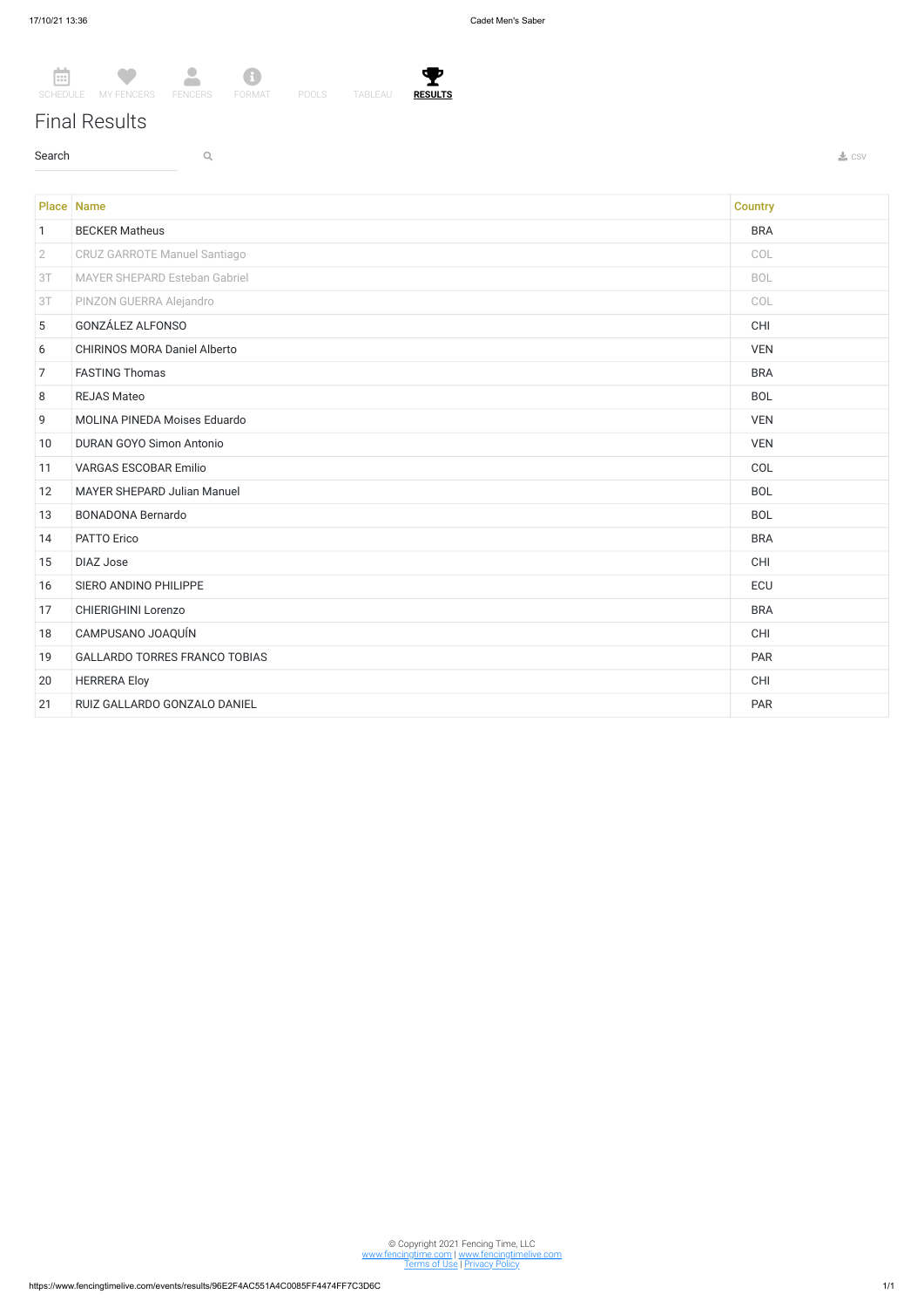## Final Results

 $\sim$  Search  $\sim$  Q. The contract of the contract of the contract of the contract of the contract of the contract of the contract of the contract of the contract of the contract of the contract of the contract of the contr





© Copyright 2021 Fencing Time, LLC www.fencingtime.com | www.fencingtimelive.com <u>Terms of Use | Privacy Policy</u>

|                 | <b>Place Name</b>                    | <b>Country</b> |
|-----------------|--------------------------------------|----------------|
| $\mathbf{1}$    | <b>BECKER Matheus</b>                | <b>BRA</b>     |
| $\overline{2}$  | <b>CRUZ GARROTE Manuel Santiago</b>  | COL            |
| 3T              | MAYER SHEPARD Esteban Gabriel        | <b>BOL</b>     |
| 3T              | PINZON GUERRA Alejandro              | COL            |
| $5\phantom{.0}$ | GONZÁLEZ ALFONSO                     | CHI            |
| 6               | <b>CHIRINOS MORA Daniel Alberto</b>  | <b>VEN</b>     |
| $\overline{7}$  | <b>FASTING Thomas</b>                | <b>BRA</b>     |
| 8               | <b>REJAS Mateo</b>                   | <b>BOL</b>     |
| 9               | MOLINA PINEDA Moises Eduardo         | <b>VEN</b>     |
| 10              | <b>DURAN GOYO Simon Antonio</b>      | <b>VEN</b>     |
| 11              | <b>VARGAS ESCOBAR Emilio</b>         | COL            |
| 12              | <b>MAYER SHEPARD Julian Manuel</b>   | <b>BOL</b>     |
| 13              | <b>BONADONA Bernardo</b>             | <b>BOL</b>     |
| 14              | PATTO Erico                          | <b>BRA</b>     |
| 15              | <b>DIAZ Jose</b>                     | <b>CHI</b>     |
| 16              | SIERO ANDINO PHILIPPE                | ECU            |
| 17              | CHIERIGHINI Lorenzo                  | <b>BRA</b>     |
| 18              | CAMPUSANO JOAQUÍN                    | CHI            |
| 19              | <b>GALLARDO TORRES FRANCO TOBIAS</b> | PAR            |
| 20              | <b>HERRERA Eloy</b>                  | CHI            |
| 21              | RUIZ GALLARDO GONZALO DANIEL         | <b>PAR</b>     |